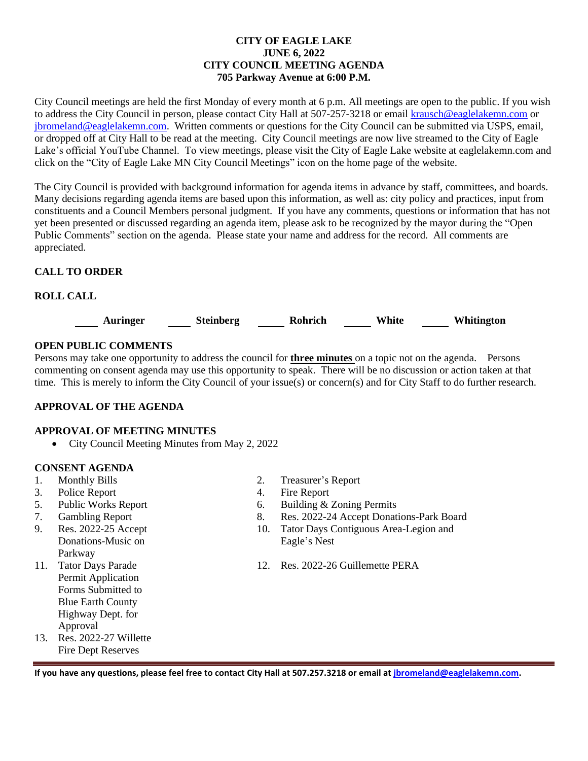### **CITY OF EAGLE LAKE JUNE 6, 2022 CITY COUNCIL MEETING AGENDA 705 Parkway Avenue at 6:00 P.M.**

City Council meetings are held the first Monday of every month at 6 p.m. All meetings are open to the public. If you wish to address the City Council in person, please contact City Hall at 507-257-3218 or emai[l krausch@eaglelakemn.com](mailto:krausch@eaglelakemn.com) or [jbromeland@eaglelakemn.com.](mailto:jbromeland@eaglelakemn.com) Written comments or questions for the City Council can be submitted via USPS, email, or dropped off at City Hall to be read at the meeting. City Council meetings are now live streamed to the City of Eagle Lake's official YouTube Channel. To view meetings, please visit the City of Eagle Lake website at eaglelakemn.com and click on the "City of Eagle Lake MN City Council Meetings" icon on the home page of the website.

The City Council is provided with background information for agenda items in advance by staff, committees, and boards. Many decisions regarding agenda items are based upon this information, as well as: city policy and practices, input from constituents and a Council Members personal judgment. If you have any comments, questions or information that has not yet been presented or discussed regarding an agenda item, please ask to be recognized by the mayor during the "Open Public Comments" section on the agenda. Please state your name and address for the record. All comments are appreciated.

# **CALL TO ORDER**

# **ROLL CALL**



# **OPEN PUBLIC COMMENTS**

Persons may take one opportunity to address the council for **three minutes** on a topic not on the agenda. Persons commenting on consent agenda may use this opportunity to speak. There will be no discussion or action taken at that time. This is merely to inform the City Council of your issue(s) or concern(s) and for City Staff to do further research.

## **APPROVAL OF THE AGENDA**

## **APPROVAL OF MEETING MINUTES**

• City Council Meeting Minutes from May 2, 2022

## **CONSENT AGENDA**

- 
- 3. Police Report 4. Fire Report
- 
- 
- 9. Res. 2022-25 Accept Donations-Music on Parkway
- 11. Tator Days Parade Permit Application Forms Submitted to Blue Earth County Highway Dept. for Approval
- 13. Res. 2022-27 Willette Fire Dept Reserves
- 1. Monthly Bills 2. Treasurer's Report
	-
- 5. Public Works Report 6. Building & Zoning Permits
- 7. Gambling Report 8. Res. 2022-24 Accept Donations-Park Board
	- 10. Tator Days Contiguous Area-Legion and Eagle's Nest
	- 12. Res. 2022-26 Guillemette PERA

**If you have any questions, please feel free to contact City Hall at 507.257.3218 or email at [jbromeland@eaglelakemn.com.](mailto:jbromeland@eaglelakemn.com)**